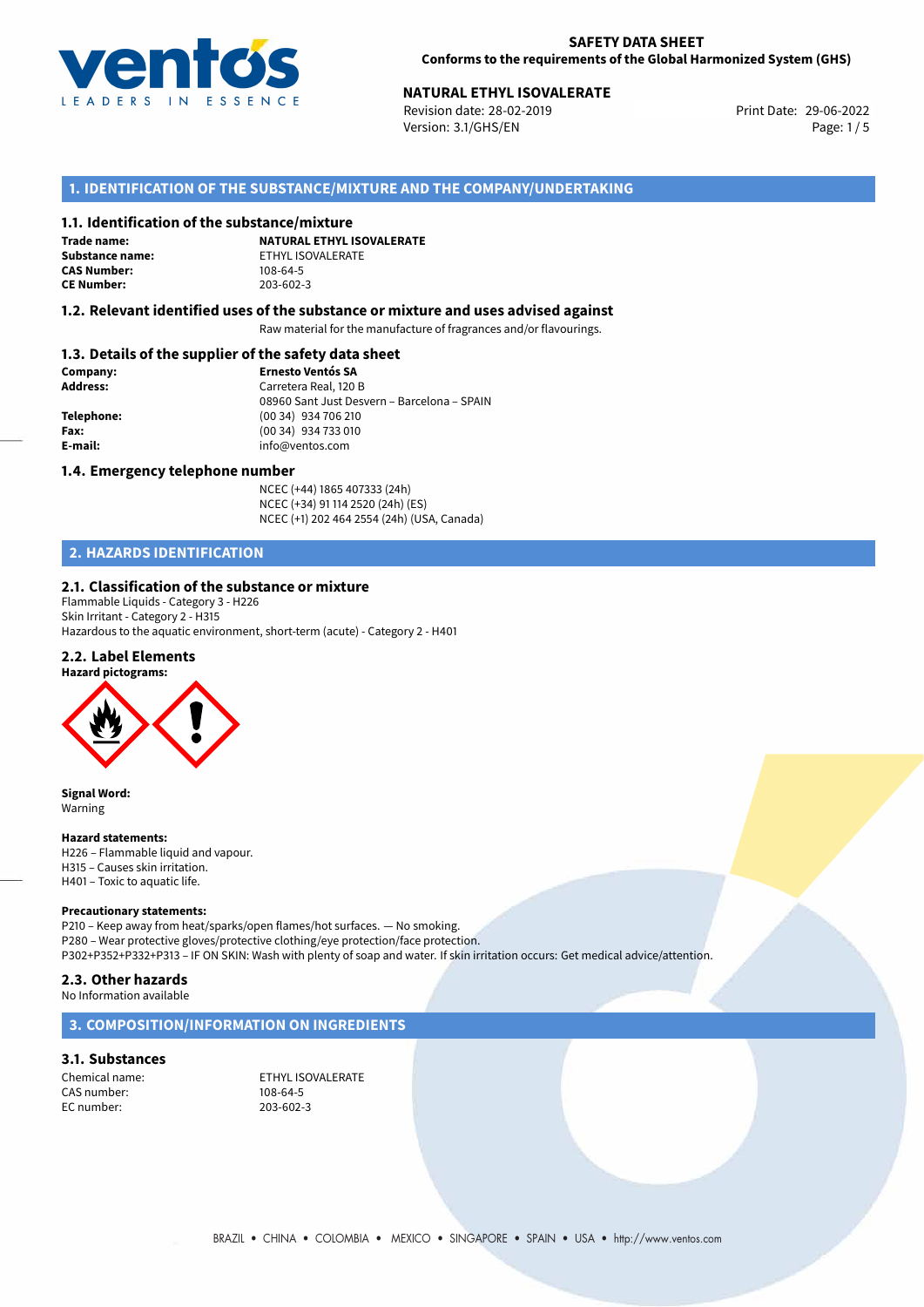

# **NATURAL ETHYL ISOVALERATE**<br>
Revision date: 28-02-2019<br>
Print Date: 29-06-2022

Revision date: 28-02-2019 Version: 3.1/GHS/EN Page: 1 / 5

# **1. IDENTIFICATION OF THE SUBSTANCE/MIXTURE AND THE COMPANY/UNDERTAKING**

### **1.1. Identification of the substance/mixture**

**Trade name: CAS Number: CE Number:** 203-602-3

**NATURAL ETHYL ISOVALERATE Substance name:** ETHYL ISOVALERATE<br> **CAS Number:** 108-64-5

### **1.2. Relevant identified uses of the substance or mixture and uses advised against**

Raw material for the manufacture of fragrances and/or flavourings.

## **1.3. Details of the supplier of the safety data sheet**

| Company:        | <b>Ernesto Ventós SA</b>                    |  |
|-----------------|---------------------------------------------|--|
| <b>Address:</b> | Carretera Real, 120 B                       |  |
|                 | 08960 Sant Just Desvern - Barcelona - SPAIN |  |
| Telephone:      | (00 34) 934 706 210                         |  |
| Fax:            | (00 34) 934 733 010                         |  |
| E-mail:         | info@ventos.com                             |  |
|                 |                                             |  |

### **1.4. Emergency telephone number**

NCEC (+44) 1865 407333 (24h) NCEC (+34) 91 114 2520 (24h) (ES) NCEC (+1) 202 464 2554 (24h) (USA, Canada)

# **2. HAZARDS IDENTIFICATION**

### **2.1. Classification of the substance or mixture**

Flammable Liquids - Category 3 - H226 Skin Irritant - Category 2 - H315 Hazardous to the aquatic environment, short-term (acute) - Category 2 - H401

### **2.2. Label Elements**





**Signal Word:** Warning

#### **Hazard statements:**

H226 – Flammable liquid and vapour. H315 – Causes skin irritation. H401 – Toxic to aquatic life.

### **Precautionary statements:**

P210 – Keep away from heat/sparks/open flames/hot surfaces. — No smoking. P280 – Wear protective gloves/protective clothing/eye protection/face protection. P302+P352+P332+P313 – IF ON SKIN: Wash with plenty of soap and water. If skin irritation occurs: Get medical advice/attention.

### **2.3. Other hazards**

No Information available

### **3. COMPOSITION/INFORMATION ON INGREDIENTS**

### **3.1. Substances**

CAS number: EC number: 203-602-3

Chemical name: ETHYL ISOVALERATE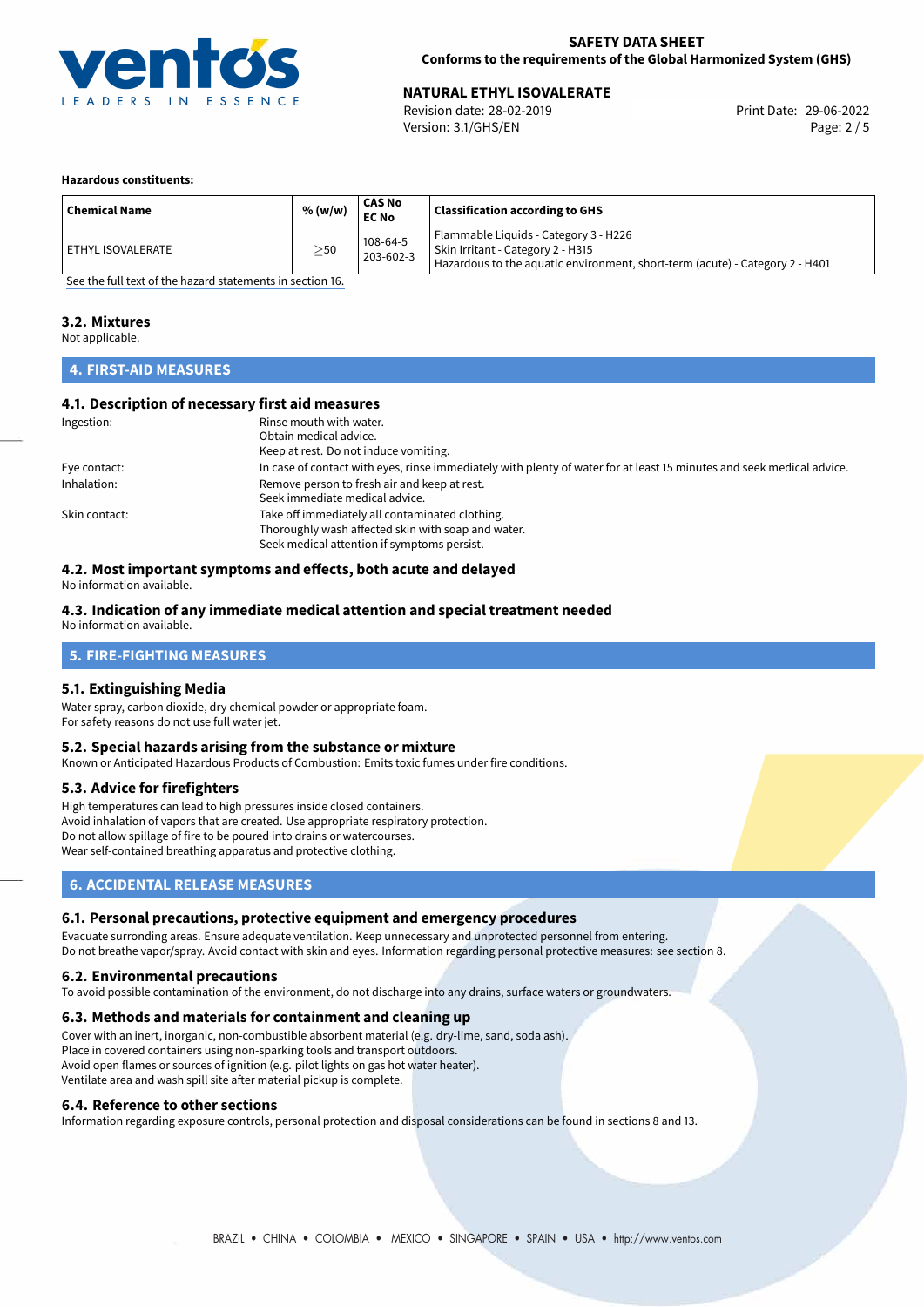

# **NATURAL ETHYL ISOVALERATE**<br>
Revision date: 28-02-2019<br> **Print Date: 29-06-2022**

Revision date: 28-02-2019 Version: 3.1/GHS/EN Page: 2 / 5

### **Hazardous constituents:**

| <b>Chemical Name</b> | % (w/w)   | <b>CAS No</b><br><b>EC No</b> | <b>Classification according to GHS</b>                                                                                                                     |
|----------------------|-----------|-------------------------------|------------------------------------------------------------------------------------------------------------------------------------------------------------|
| ETHYL ISOVALERATE    | $\geq$ 50 | 108-64-5<br>203-602-3         | Flammable Liquids - Category 3 - H226<br>Skin Irritant - Category 2 - H315<br>Hazardous to the aquatic environment, short-term (acute) - Category 2 - H401 |

[See the full text of the hazard statements in section 16.](#page-4-0)

### **3.2. Mixtures**

Not applicable.

## **4. FIRST-AID MEASURES**

### **4.1. Description of necessary first aid measures**

| Ingestion:    | Rinse mouth with water.                                                                                               |
|---------------|-----------------------------------------------------------------------------------------------------------------------|
|               | Obtain medical advice.                                                                                                |
|               | Keep at rest. Do not induce vomiting.                                                                                 |
| Eye contact:  | In case of contact with eyes, rinse immediately with plenty of water for at least 15 minutes and seek medical advice. |
| Inhalation:   | Remove person to fresh air and keep at rest.                                                                          |
|               | Seek immediate medical advice.                                                                                        |
| Skin contact: | Take off immediately all contaminated clothing.                                                                       |
|               | Thoroughly wash affected skin with soap and water.                                                                    |
|               | Seek medical attention if symptoms persist.                                                                           |

## **4.2. Most important symptoms and effects, both acute and delayed**

No information available.

### **4.3. Indication of any immediate medical attention and special treatment needed**

No information available.

# **5. FIRE-FIGHTING MEASURES**

### **5.1. Extinguishing Media**

Water spray, carbon dioxide, dry chemical powder or appropriate foam. For safety reasons do not use full water jet.

### **5.2. Special hazards arising from the substance or mixture**

Known or Anticipated Hazardous Products of Combustion: Emits toxic fumes under fire conditions.

### **5.3. Advice for firefighters**

High temperatures can lead to high pressures inside closed containers. Avoid inhalation of vapors that are created. Use appropriate respiratory protection. Do not allow spillage of fire to be poured into drains or watercourses. Wear self-contained breathing apparatus and protective clothing.

## **6. ACCIDENTAL RELEASE MEASURES**

### **6.1. Personal precautions, protective equipment and emergency procedures**

Evacuate surronding areas. Ensure adequate ventilation. Keep unnecessary and unprotected personnel from entering. Do not breathe vapor/spray. Avoid contact with skin and eyes. Information regarding personal protective measures: see section 8.

### **6.2. Environmental precautions**

To avoid possible contamination of the environment, do not discharge into any drains, surface waters or groundwaters.

### **6.3. Methods and materials for containment and cleaning up**

Cover with an inert, inorganic, non-combustible absorbent material (e.g. dry-lime, sand, soda ash). Place in covered containers using non-sparking tools and transport outdoors. Avoid open flames or sources of ignition (e.g. pilot lights on gas hot water heater). Ventilate area and wash spill site after material pickup is complete.

### **6.4. Reference to other sections**

Information regarding exposure controls, personal protection and disposal considerations can be found in sections 8 and 13.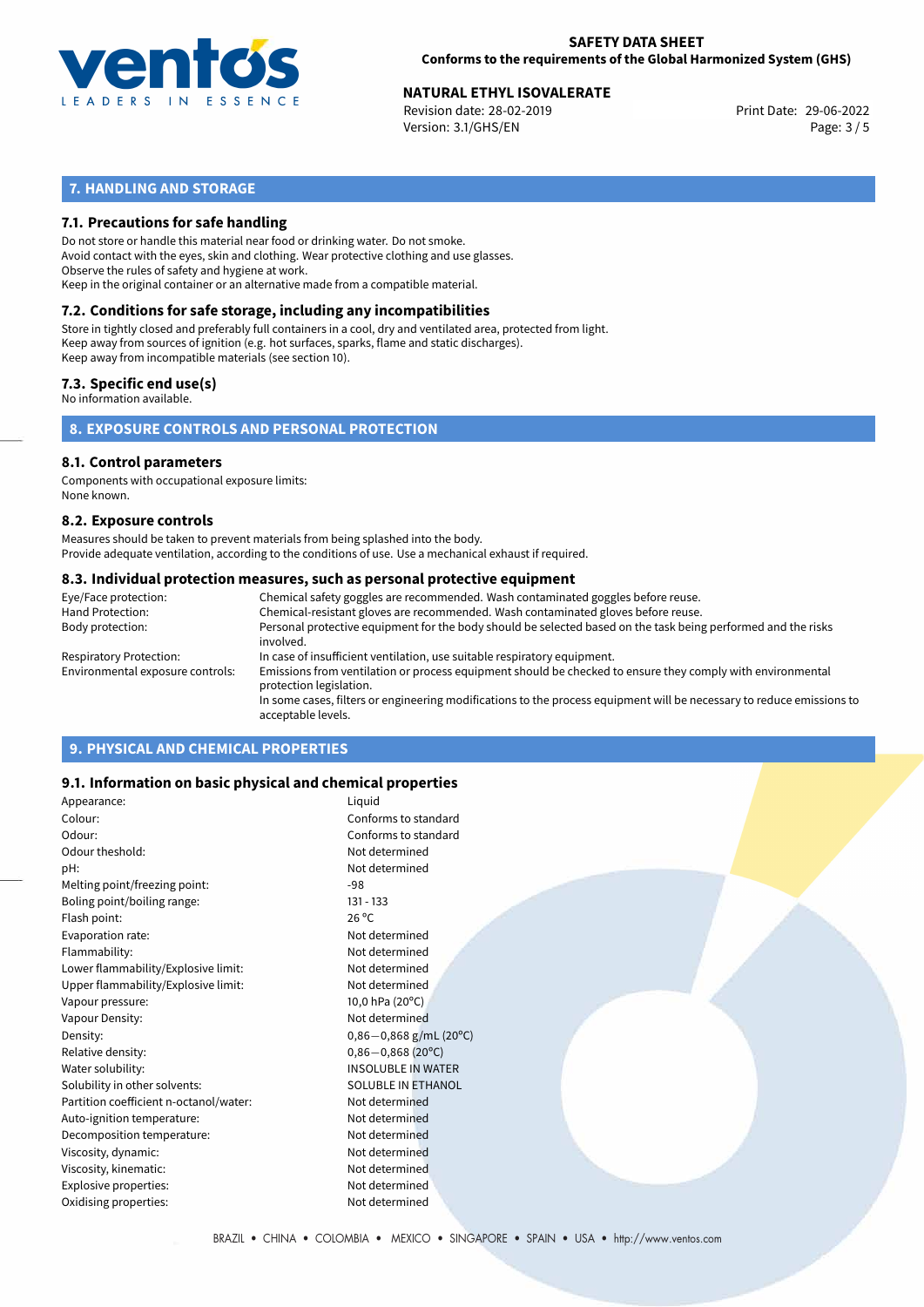

# **NATURAL ETHYL ISOVALERATE**<br>
Revision date: 28-02-2019<br>
Print Date: 29-06-2022

Revision date: 28-02-2019 Version: 3.1/GHS/EN Page: 3 / 5

# **7. HANDLING AND STORAGE**

## **7.1. Precautions for safe handling**

Do not store or handle this material near food or drinking water. Do not smoke. Avoid contact with the eyes, skin and clothing. Wear protective clothing and use glasses. Observe the rules of safety and hygiene at work. Keep in the original container or an alternative made from a compatible material.

# **7.2. Conditions for safe storage, including any incompatibilities**

Store in tightly closed and preferably full containers in a cool, dry and ventilated area, protected from light. Keep away from sources of ignition (e.g. hot surfaces, sparks, flame and static discharges). Keep away from incompatible materials (see section 10).

### **7.3. Specific end use(s)**

No information available.

**8. EXPOSURE CONTROLS AND PERSONAL PROTECTION**

### **8.1. Control parameters**

Components with occupational exposure limits: None known.

### **8.2. Exposure controls**

Measures should be taken to prevent materials from being splashed into the body. Provide adequate ventilation, according to the conditions of use. Use a mechanical exhaust if required.

### **8.3. Individual protection measures, such as personal protective equipment**

| Eye/Face protection:             | Chemical safety goggles are recommended. Wash contaminated goggles before reuse.                                                            |
|----------------------------------|---------------------------------------------------------------------------------------------------------------------------------------------|
| Hand Protection:                 | Chemical-resistant gloves are recommended. Wash contaminated gloves before reuse.                                                           |
| Body protection:                 | Personal protective equipment for the body should be selected based on the task being performed and the risks<br>involved.                  |
| Respiratory Protection:          | In case of insufficient ventilation, use suitable respiratory equipment.                                                                    |
| Environmental exposure controls: | Emissions from ventilation or process equipment should be checked to ensure they comply with environmental<br>protection legislation.       |
|                                  | In some cases, filters or engineering modifications to the process equipment will be necessary to reduce emissions to<br>acceptable levels. |
|                                  |                                                                                                                                             |

# **9. PHYSICAL AND CHEMICAL PROPERTIES**

### **9.1. Information on basic physical and chemical properties**

| Appearance:                            | Liquid                    |
|----------------------------------------|---------------------------|
| Colour:                                | Conforms to standard      |
| Odour:                                 | Conforms to standard      |
| Odour theshold:                        | Not determined            |
| pH:                                    | Not determined            |
| Melting point/freezing point:          | $-98$                     |
| Boling point/boiling range:            | $131 - 133$               |
| Flash point:                           | $26^{\circ}$ C            |
| Evaporation rate:                      | Not determined            |
| Flammability:                          | Not determined            |
| Lower flammability/Explosive limit:    | Not determined            |
| Upper flammability/Explosive limit:    | Not determined            |
| Vapour pressure:                       | 10,0 hPa $(20^{\circ}C)$  |
| Vapour Density:                        | Not determined            |
| Density:                               | $0,86-0,868$ g/mL (20°C)  |
| Relative density:                      | $0,86 - 0,868$ (20°C)     |
| Water solubility:                      | <b>INSOLUBLE IN WATER</b> |
| Solubility in other solvents:          | <b>SOLUBLE IN ETHANOL</b> |
| Partition coefficient n-octanol/water: | Not determined            |
| Auto-ignition temperature:             | Not determined            |
| Decomposition temperature:             | Not determined            |
| Viscosity, dynamic:                    | Not determined            |
| Viscosity, kinematic:                  | Not determined            |
| Explosive properties:                  | Not determined            |
| Oxidising properties:                  | Not determined            |
|                                        |                           |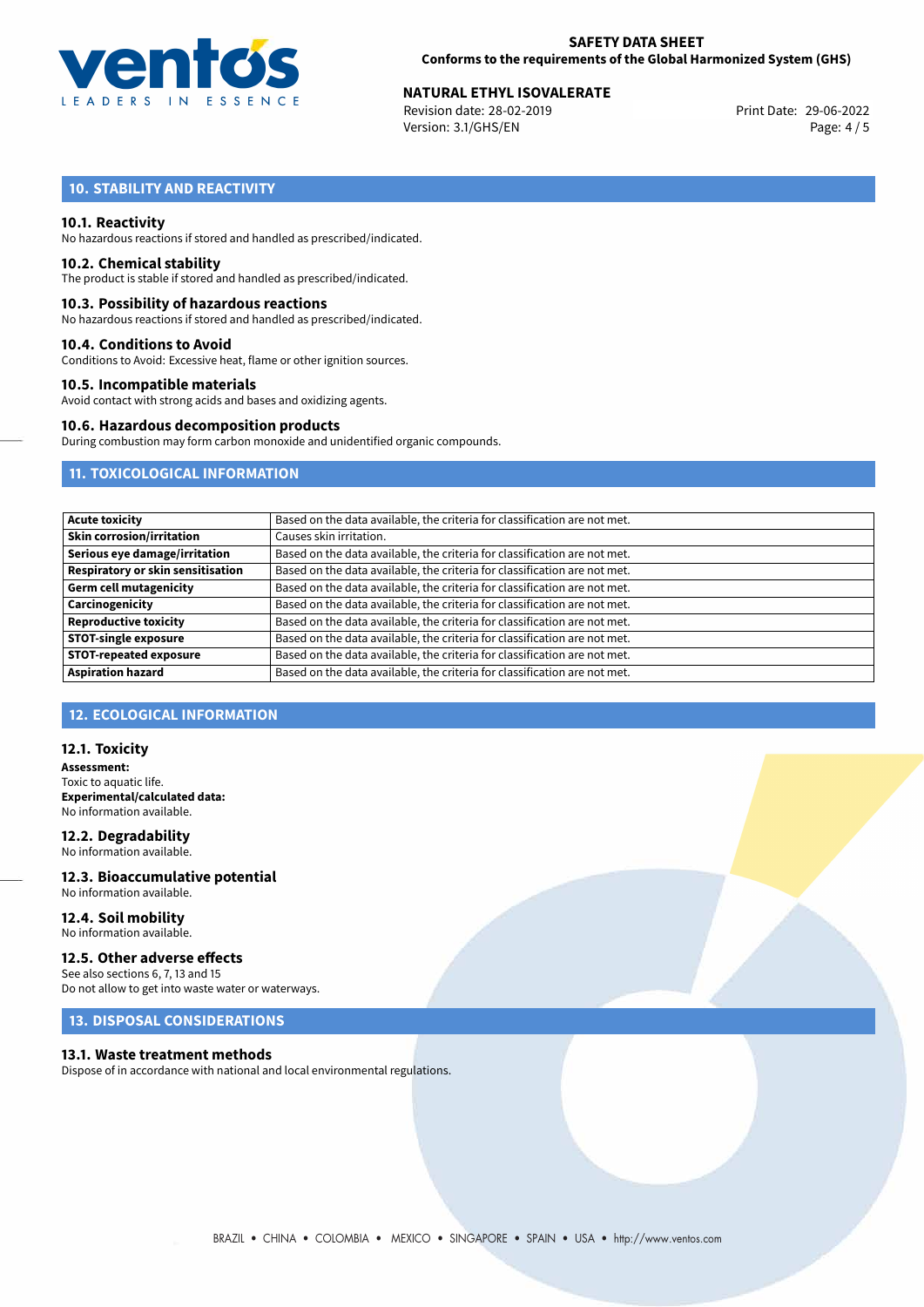

# **NATURAL ETHYL ISOVALERATE**<br>
Revision date: 28-02-2019<br>
Print Date: 29-06-2022

Revision date: 28-02-2019 Version: 3.1/GHS/EN Page: 4 / 5

# **10. STABILITY AND REACTIVITY**

### **10.1. Reactivity**

No hazardous reactions if stored and handled as prescribed/indicated.

### **10.2. Chemical stability**

The product is stable if stored and handled as prescribed/indicated.

### **10.3. Possibility of hazardous reactions**

No hazardous reactions if stored and handled as prescribed/indicated.

### **10.4. Conditions to Avoid**

Conditions to Avoid: Excessive heat, flame or other ignition sources.

### **10.5. Incompatible materials**

Avoid contact with strong acids and bases and oxidizing agents.

### **10.6. Hazardous decomposition products**

During combustion may form carbon monoxide and unidentified organic compounds.

# **11. TOXICOLOGICAL INFORMATION**

| <b>Acute toxicity</b>                    | Based on the data available, the criteria for classification are not met. |
|------------------------------------------|---------------------------------------------------------------------------|
| <b>Skin corrosion/irritation</b>         | Causes skin irritation.                                                   |
| Serious eye damage/irritation            | Based on the data available, the criteria for classification are not met. |
| <b>Respiratory or skin sensitisation</b> | Based on the data available, the criteria for classification are not met. |
| <b>Germ cell mutagenicity</b>            | Based on the data available, the criteria for classification are not met. |
| Carcinogenicity                          | Based on the data available, the criteria for classification are not met. |
| <b>Reproductive toxicity</b>             | Based on the data available, the criteria for classification are not met. |
| <b>STOT-single exposure</b>              | Based on the data available, the criteria for classification are not met. |
| <b>STOT-repeated exposure</b>            | Based on the data available, the criteria for classification are not met. |
| <b>Aspiration hazard</b>                 | Based on the data available, the criteria for classification are not met. |

# **12. ECOLOGICAL INFORMATION**

### **12.1. Toxicity**

**Assessment:** Toxic to aquatic life. **Experimental/calculated data:** No information available.

**12.2. Degradability** No information available.

**12.3. Bioaccumulative potential** No information available.

#### **12.4. Soil mobility** No information available.

### **12.5. Other adverse effects**

See also sections 6, 7, 13 and 15 Do not allow to get into waste water or waterways.

# **13. DISPOSAL CONSIDERATIONS**

### **13.1. Waste treatment methods**

Dispose of in accordance with national and local environmental regulations.